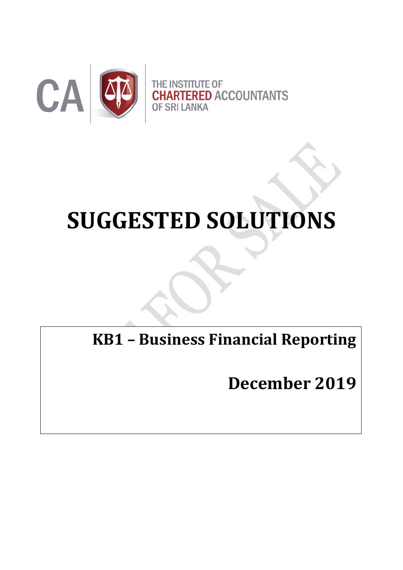

# **SUGGESTED SOLUTIONS**

**KB1 – Business Financial Reporting**

**December 2019**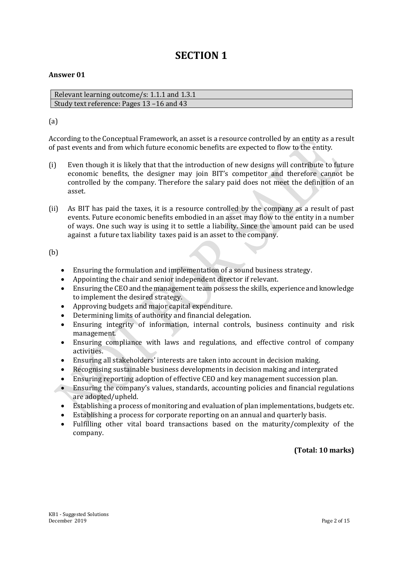# **SECTION 1**

#### **Answer 01**

Relevant learning outcome/s: 1.1.1 and 1.3.1 Study text reference: Pages 13 –16 and 43

#### (a)

According to the Conceptual Framework, an asset is a resource controlled by an entity as a result of past events and from which future economic benefits are expected to flow to the entity.

- (i) Even though it is likely that that the introduction of new designs will contribute to future economic benefits, the designer may join BIT's competitor and therefore cannot be controlled by the company. Therefore the salary paid does not meet the definition of an asset.
- (ii) As BIT has paid the taxes, it is a resource controlled by the company as a result of past events. Future economic benefits embodied in an asset may flow to the entity in a number of ways. One such way is using it to settle a liability. Since the amount paid can be used against a future tax liability taxes paid is an asset to the company.

#### (b)

- Ensuring the formulation and implementation of a sound business strategy.
- Appointing the chair and senior independent director if relevant.
- Ensuring the CEO and the management team possess the skills, experience and knowledge to implement the desired strategy.
- Approving budgets and major capital expenditure.
- Determining limits of authority and financial delegation.
- Ensuring integrity of information, internal controls, business continuity and risk management.
- Ensuring compliance with laws and regulations, and effective control of company activities.
- Ensuring all stakeholders' interests are taken into account in decision making.
- Recognising sustainable business developments in decision making and intergrated
- Ensuring reporting adoption of effective CEO and key management succession plan.
- Ensuring the company's values, standards, accounting policies and financial regulations are adopted/upheld.
- Establishing a process of monitoring and evaluation of plan implementations, budgets etc.
- Establishing a process for corporate reporting on an annual and quarterly basis.
- Fulfilling other vital board transactions based on the maturity/complexity of the company.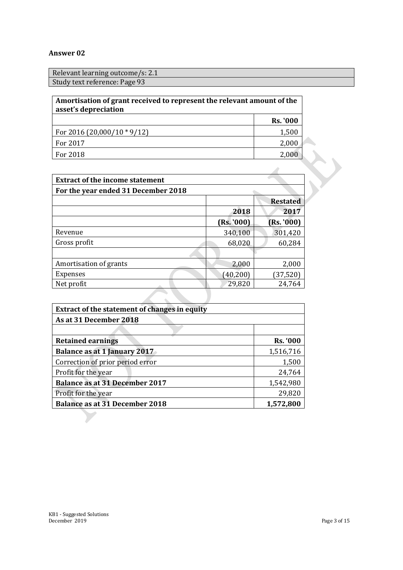| Relevant learning outcome/s: 2.1 |
|----------------------------------|
| Study text reference: Page 93    |
|                                  |

| Amortisation of grant received to represent the relevant amount of the<br>asset's depreciation |                 |
|------------------------------------------------------------------------------------------------|-----------------|
|                                                                                                | <b>Rs. '000</b> |
| For 2016 (20,000/10 $*9/12$ )                                                                  | 1,500           |
| For 2017                                                                                       | 2,000           |
| For 2018                                                                                       | 2,000           |

| <b>Extract of the income statement</b> |            |                 |
|----------------------------------------|------------|-----------------|
| For the year ended 31 December 2018    |            |                 |
|                                        |            | <b>Restated</b> |
|                                        | 2018       | 2017            |
|                                        | (Rs. '000) | (Rs. '000)      |
| Revenue                                | 340,100    | 301,420         |
| Gross profit                           | 68,020     | 60,284          |
|                                        |            |                 |
| Amortisation of grants                 | 2,000      | 2,000           |
| <b>Expenses</b>                        | (40, 200)  | (37, 520)       |
| Net profit                             | 29,820     | 24,764          |
|                                        |            |                 |

| <b>Extract of the statement of changes in equity</b> |                 |  |  |  |
|------------------------------------------------------|-----------------|--|--|--|
| As at 31 December 2018                               |                 |  |  |  |
|                                                      |                 |  |  |  |
| <b>Retained earnings</b>                             | <b>Rs. '000</b> |  |  |  |
| <b>Balance as at 1 January 2017</b>                  | 1,516,716       |  |  |  |
| Correction of prior period error                     | 1,500           |  |  |  |
| Profit for the year                                  | 24,764          |  |  |  |
| <b>Balance as at 31 December 2017</b>                | 1,542,980       |  |  |  |
| Profit for the year                                  | 29,820          |  |  |  |
| <b>Balance as at 31 December 2018</b>                | 1,572,800       |  |  |  |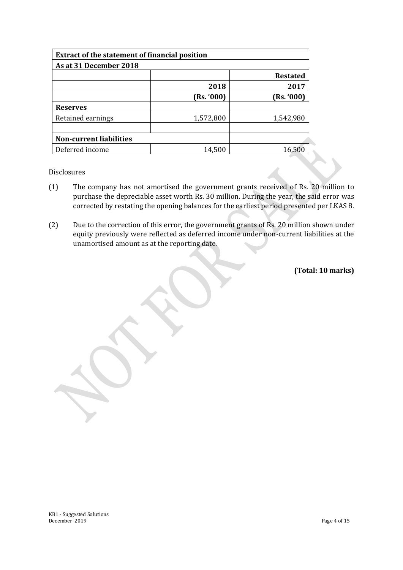| <b>Extract of the statement of financial position</b> |            |                 |  |  |
|-------------------------------------------------------|------------|-----------------|--|--|
| As at 31 December 2018                                |            |                 |  |  |
|                                                       |            | <b>Restated</b> |  |  |
|                                                       | 2018       | 2017            |  |  |
|                                                       | (Rs. '000) | (Rs. '000)      |  |  |
| <b>Reserves</b>                                       |            |                 |  |  |
| Retained earnings                                     | 1,572,800  | 1,542,980       |  |  |
|                                                       |            |                 |  |  |
| <b>Non-current liabilities</b>                        |            |                 |  |  |
| Deferred income                                       | 14,500     | 16,500          |  |  |

Disclosures

- (1) The company has not amortised the government grants received of Rs. 20 million to purchase the depreciable asset worth Rs. 30 million. During the year, the said error was corrected by restating the opening balances for the earliest period presented per LKAS 8.
- (2) Due to the correction of this error, the government grants of Rs. 20 million shown under equity previously were reflected as deferred income under non-current liabilities at the unamortised amount as at the reporting date.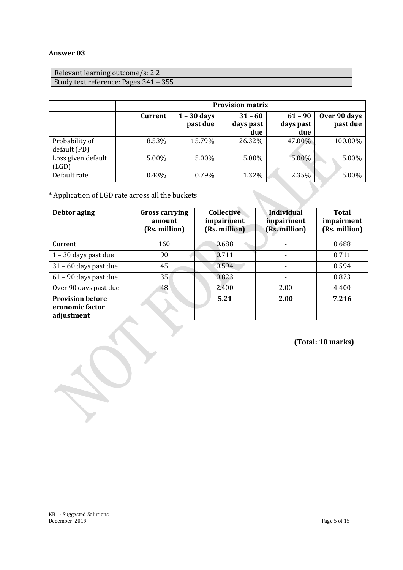| Relevant learning outcome/s: 2.2      |  |
|---------------------------------------|--|
| Study text reference: Pages 341 – 355 |  |

|                                | <b>Provision matrix</b> |                           |                               |                               |                          |
|--------------------------------|-------------------------|---------------------------|-------------------------------|-------------------------------|--------------------------|
|                                | <b>Current</b>          | $1 - 30$ days<br>past due | $31 - 60$<br>days past<br>due | $61 - 90$<br>days past<br>due | Over 90 days<br>past due |
| Probability of<br>default (PD) | 8.53%                   | 15.79%                    | 26.32%                        | 47.00%                        | 100.00%                  |
| Loss given default<br>(LGD)    | 5.00%                   | 5.00%                     | 5.00%                         | 5.00%                         | 5.00%                    |
| Default rate                   | 0.43%                   | 0.79%                     | 1.32%                         | 2.35%                         | 5.00%                    |

\* Application of LGD rate across all the buckets

| Debtor aging                                             | <b>Gross carrying</b><br>amount<br>(Rs. million) | <b>Collective</b><br>impairment<br>(Rs. million) | <b>Individual</b><br>impairment<br>(Rs. million) | <b>Total</b><br>impairment<br>(Rs. million) |
|----------------------------------------------------------|--------------------------------------------------|--------------------------------------------------|--------------------------------------------------|---------------------------------------------|
| Current                                                  | 160                                              | 0.688                                            |                                                  | 0.688                                       |
| $1 - 30$ days past due                                   | 90                                               | 0.711                                            |                                                  | 0.711                                       |
| $31 - 60$ days past due                                  | 45                                               | 0.594                                            | $\overline{a}$                                   | 0.594                                       |
| 61 - 90 days past due                                    | 35                                               | 0.823                                            | $\blacksquare$                                   | 0.823                                       |
| Over 90 days past due                                    | 48                                               | 2.400                                            | 2.00                                             | 4.400                                       |
| <b>Provision before</b><br>economic factor<br>adjustment |                                                  | 5.21                                             | 2.00                                             | 7.216                                       |

**(Total: 10 marks)**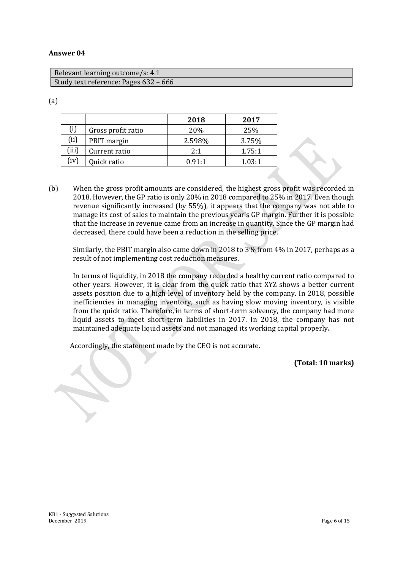| Relevant learning outcome/s: 4.1      |  |
|---------------------------------------|--|
| Study text reference: Pages 632 - 666 |  |

#### (a)

|       |                    | 2018   | 2017   |
|-------|--------------------|--------|--------|
| (i)   | Gross profit ratio | 20%    | 25%    |
| (i)   | PBIT margin        | 2.598% | 3.75%  |
| (iii) | Current ratio      | 2:1    | 1.75:1 |
| (iv)  | Quick ratio        | 0.91:1 | 1.03:1 |

(b) When the gross profit amounts are considered, the highest gross profit was recorded in 2018. However, the GP ratio is only 20% in 2018 compared to 25% in 2017. Even though revenue significantly increased (by 55%), it appears that the company was not able to manage its cost of sales to maintain the previous year's GP margin. Further it is possible that the increase in revenue came from an increase in quantity. Since the GP margin had decreased, there could have been a reduction in the selling price.

Similarly, the PBIT margin also came down in 2018 to 3% from 4% in 2017, perhaps as a result of not implementing cost reduction measures.

In terms of liquidity, in 2018 the company recorded a healthy current ratio compared to other years. However, it is clear from the quick ratio that XYZ shows a better current assets position due to a high level of inventory held by the company. In 2018, possible inefficiencies in managing inventory, such as having slow moving inventory, is visible from the quick ratio. Therefore, in terms of short-term solvency, the company had more liquid assets to meet short-term liabilities in 2017. In 2018, the company has not maintained adequate liquid assets and not managed its working capital properly**.**

Accordingly, the statement made by the CEO is not accurate**.**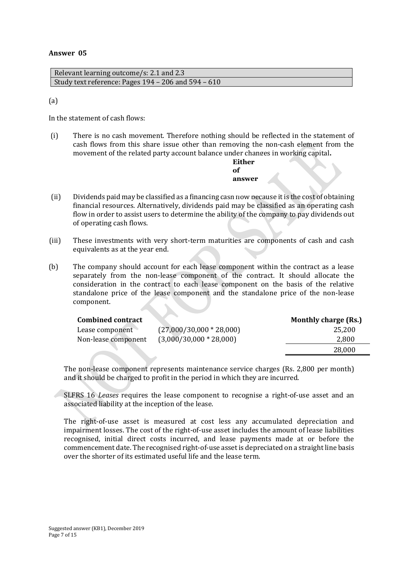Relevant learning outcome/s: 2.1 and 2.3 Study text reference: Pages 194 – 206 and 594 – 610

(a)

In the statement of cash flows:

(i) There is no cash movement. Therefore nothing should be reflected in the statement of cash flows from this share issue other than removing the non-cash element from the movement of the related party account balance under changes in working capital**.**

> **Either**   $\alpha$ **f answer**

- (ii) Dividends paid may be classified as a financing cash now because it is the cost of obtaining financial resources. Alternatively, dividends paid may be classified as an operating cash flow in order to assist users to determine the ability of the company to pay dividends out of operating cash flows.
- (iii) These investments with very short-term maturities are components of cash and cash equivalents as at the year end.
- (b) The company should account for each lease component within the contract as a lease separately from the non-lease component of the contract. It should allocate the consideration in the contract to each lease component on the basis of the relative standalone price of the lease component and the standalone price of the non-lease component.

| <b>Combined contract</b> |                            | <b>Monthly charge (Rs.)</b> |
|--------------------------|----------------------------|-----------------------------|
| Lease component          | $(27,000/30,000 * 28,000)$ | 25.200                      |
| Non-lease component      | $(3,000/30,000 * 28,000)$  | 2,800                       |
|                          |                            | 28,000                      |

The non-lease component represents maintenance service charges (Rs. 2,800 per month) and it should be charged to profit in the period in which they are incurred.

SLFRS 16 *Leases* requires the lease component to recognise a right-of-use asset and an associated liability at the inception of the lease.

The right-of-use asset is measured at cost less any accumulated depreciation and impairment losses. The cost of the right-of-use asset includes the amount of lease liabilities recognised, initial direct costs incurred, and lease payments made at or before the commencement date. The recognised right-of-use asset is depreciated on a straight line basis over the shorter of its estimated useful life and the lease term.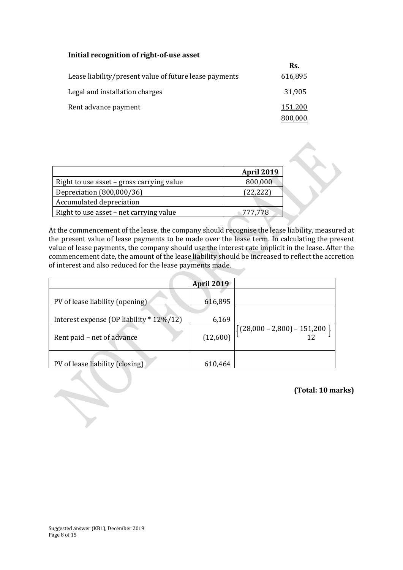#### **Initial recognition of right-of-use asset**

|                                                        | Rs.     |
|--------------------------------------------------------|---------|
| Lease liability/present value of future lease payments | 616,895 |
| Legal and installation charges                         | 31,905  |
| Rent advance payment                                   | 151,200 |
|                                                        | 800,000 |

|                                           | <b>April 2019</b> |
|-------------------------------------------|-------------------|
| Right to use asset – gross carrying value | 800,000           |
| Depreciation (800,000/36)                 | (22, 222)         |
| Accumulated depreciation                  |                   |
| Right to use asset – net carrying value   | 777.778           |

At the commencement of the lease, the company should recognise the lease liability, measured at the present value of lease payments to be made over the lease term. In calculating the present value of lease payments, the company should use the interest rate implicit in the lease. After the commencement date, the amount of the lease liability should be increased to reflect the accretion of interest and also reduced for the lease payments made.

|                                          | <b>April 2019</b> |                                                                     |
|------------------------------------------|-------------------|---------------------------------------------------------------------|
|                                          |                   |                                                                     |
| PV of lease liability (opening)          | 616,895           |                                                                     |
|                                          |                   |                                                                     |
| Interest expense (OP liability * 12%/12) | 6,169             |                                                                     |
| Rent paid - net of advance               | (12,600)          | $\left[ \left\{ \frac{(28,000-2,800)-151,200}{12} \right\} \right]$ |
| PV of lease liability (closing)          | 610,464           |                                                                     |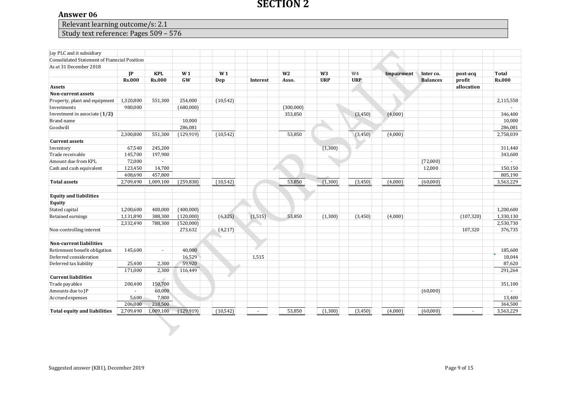#### **SECTION 2**

#### **Answer 06**

Relevant learning outcome/s: 2.1

### Study text reference: Pages 509 – 576

| Relevant learning outcome/s: 2.1<br>Study text reference: Pages 509 - 576 |               |               |                |                |                 |                |                |            |            |                 |            |               |
|---------------------------------------------------------------------------|---------------|---------------|----------------|----------------|-----------------|----------------|----------------|------------|------------|-----------------|------------|---------------|
|                                                                           |               |               |                |                |                 |                |                |            |            |                 |            |               |
| Jay PLC and it subsidiary                                                 |               |               |                |                |                 |                |                |            |            |                 |            |               |
| Consolidated Statement of Fianncial Position                              |               |               |                |                |                 |                |                |            |            |                 |            |               |
| As at 31 December 2018                                                    |               |               |                |                |                 |                |                |            |            |                 |            |               |
|                                                                           | $_{\rm IP}$   | <b>KPL</b>    | W <sub>1</sub> | W <sub>1</sub> |                 | W <sub>2</sub> | W <sub>3</sub> | W4         | Impairment | Inter co.       | post-acq   | <b>Total</b>  |
|                                                                           | <b>Rs.000</b> | <b>Rs.000</b> | <b>GW</b>      | Dep            | <b>Interest</b> | Asso.          | <b>URP</b>     | <b>URP</b> |            | <b>Balances</b> | profit     | <b>Rs.000</b> |
| <b>Assets</b>                                                             |               |               |                |                |                 |                |                |            |            |                 | allocation |               |
| Non-current assets                                                        |               |               |                |                |                 |                |                |            |            |                 |            |               |
| Property, plant and equipment                                             | 1,320,800     | 551,300       | 254,000        | (10, 542)      |                 |                |                |            |            |                 |            | 2,115,558     |
| Investments                                                               | 980,000       |               | (680,000)      |                |                 | (300,000)      |                |            |            |                 |            |               |
| Investment in associate $(1/2)$                                           |               |               |                |                |                 | 353,850        |                | (3,450)    | (4,000)    |                 |            | 346,400       |
| Brand name                                                                |               |               | 10,000         |                |                 |                |                |            |            |                 |            | 10,000        |
| Goodwill                                                                  |               |               | 286,081        |                |                 |                |                |            |            |                 |            | 286,081       |
|                                                                           | 2,300,800     | 551,300       | (129, 919)     | (10, 542)      |                 | 53,850         |                | (3,450)    | (4,000)    |                 |            | 2,758,039     |
| <b>Current assets</b>                                                     |               |               |                |                |                 |                |                |            |            |                 |            |               |
| Inventory                                                                 | 67,540        | 245,200       |                |                |                 |                | (1, 300)       |            |            |                 |            | 311,440       |
| Trade receivable                                                          | 145,700       | 197,900       |                |                |                 |                |                |            |            |                 |            | 343,600       |
| Amount due from KPL                                                       | 72,000        | $\sim$        |                |                |                 |                |                |            |            | (72,000)        |            |               |
| Cash and cash equivalent                                                  | 123,450       | 14,700        |                |                |                 |                |                |            |            | 12,000          |            | 150,150       |
|                                                                           | 408,690       | 457,800       |                |                |                 |                |                |            |            |                 |            | 805,190       |
| <b>Total assets</b>                                                       | 2,709,490     | 1,009,100     | (259, 838)     | (10, 542)      |                 | 53,850         | (1,300)        | (3,450)    | (4,000)    | (60,000)        |            | 3,563,229     |
| <b>Equity and liabilities</b>                                             |               |               |                |                |                 |                |                |            |            |                 |            |               |
| <b>Equity</b>                                                             |               |               |                |                |                 |                |                |            |            |                 |            |               |
| Stated capital                                                            | 1,200,600     | 400,000       | (400,000)      |                |                 |                |                |            |            |                 |            | 1,200,600     |
| Retained earnings                                                         | 1,131,890     | 388,300       | (120,000)      | (6, 325)       | (1, 515)        | 53,850         | (1,300)        | (3,450)    | (4,000)    |                 | (107, 320) | 1,330,130     |
|                                                                           | 2,332,490     | 788,300       | (520,000)      |                |                 |                |                |            |            |                 |            | 2,530,730     |
| Non-controlling interest                                                  |               |               | 273,632        | (4,217)        |                 |                |                |            |            |                 | 107,320    | 376,735       |
|                                                                           |               |               |                |                |                 |                |                |            |            |                 |            |               |
| Non-current liabilities                                                   |               |               |                |                |                 |                |                |            |            |                 |            |               |
| Retirement benefit obligation                                             | 145,600       | $\sim$        | 40,000         |                |                 |                |                |            |            |                 |            | 185,600       |
| Deferred consideration                                                    |               |               | 16,529         |                | 1,515           |                |                |            |            |                 |            | 18,044        |
| Deferred tax liability                                                    | 25,400        | 2,300         | 59,920         |                |                 |                |                |            |            |                 |            | 87,620        |
|                                                                           | 171,000       | 2,300         | 116,449        |                |                 |                |                |            |            |                 |            | 291,264       |
| <b>Current liabilities</b>                                                |               |               |                |                |                 |                |                |            |            |                 |            |               |
| Trade payables                                                            | 200,400       | 150,700       |                |                |                 |                |                |            |            |                 |            | 351,100       |
| Amounts due to JP                                                         |               | 60,000        |                |                |                 |                |                |            |            | (60,000)        |            |               |
| Accrued expenses                                                          | 5,600         | 7,800         |                |                |                 |                |                |            |            |                 |            | 13,400        |
|                                                                           | 206,000       | 218,500       |                |                |                 |                |                |            |            |                 |            | 364,500       |
| <b>Total equity and liabilities</b>                                       | 2,709,490     | 1,009,100     | (129, 919)     | (10, 542)      | ÷.              | 53,850         | (1,300)        | (3,450)    | (4,000)    | (60,000)        | $\omega$   | 3,563,229     |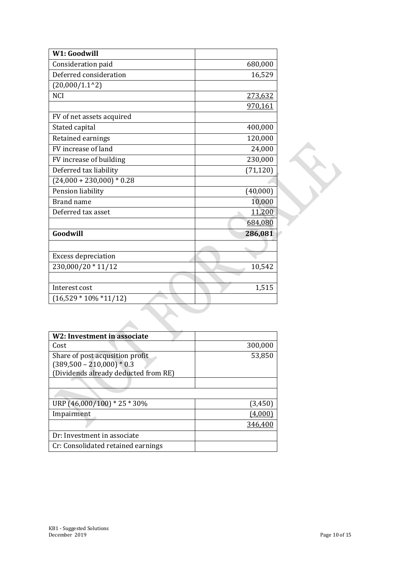| W1: Goodwill                |           |
|-----------------------------|-----------|
| Consideration paid          | 680,000   |
| Deferred consideration      | 16,529    |
| (20,000/1.1 <sup>2</sup> )  |           |
| <b>NCI</b>                  | 273,632   |
|                             | 970,161   |
| FV of net assets acquired   |           |
| Stated capital              | 400,000   |
| Retained earnings           | 120,000   |
| FV increase of land         | 24,000    |
| FV increase of building     | 230,000   |
| Deferred tax liability      | (71, 120) |
| $(24,000 + 230,000) * 0.28$ |           |
| Pension liability           | (40,000)  |
| <b>Brand name</b>           | 10,000    |
| Deferred tax asset          | 11,200    |
|                             | 684,080   |
| Goodwill                    | 286,081   |
|                             |           |
| <b>Excess depreciation</b>  |           |
| 230,000/20 * 11/12          | 10,542    |
|                             |           |
| Interest cost               | 1,515     |
| $(16,529 * 10\% * 11/12)$   |           |
|                             |           |
|                             |           |

| W2: Investment in associate          |         |
|--------------------------------------|---------|
| Cost                                 | 300,000 |
| Share of post acqusition profit      | 53,850  |
| $(389,500 - 210,000) * 0.3$          |         |
| (Dividends already deducted from RE) |         |
|                                      |         |
|                                      |         |
| URP (46,000/100) * 25 * 30%          | (3,450) |
| Impairment                           |         |
|                                      | 346,400 |
| Dr: Investment in associate          |         |
| Cr: Consolidated retained earnings   |         |

z.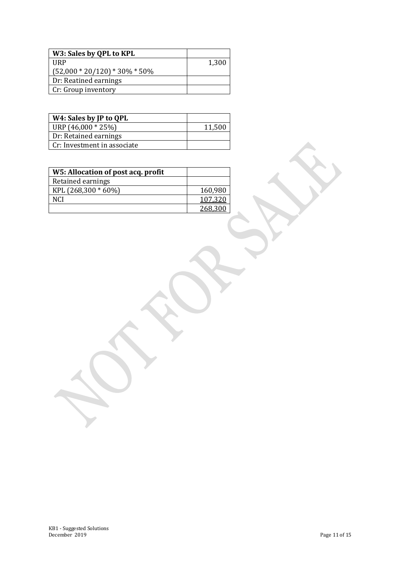| W3: Sales by QPL to KPL           |       |
|-----------------------------------|-------|
| <b>HRP</b>                        | 1,300 |
| $(52,000 * 20/120) * 30\% * 50\%$ |       |
| Dr: Reatined earnings             |       |
| Cr: Group inventory               |       |

| W4: Sales by JP to QPL      |        |
|-----------------------------|--------|
| URP $(46,000 * 25%)$        | 11,500 |
| Dr: Retained earnings       |        |
| Cr: Investment in associate |        |

| W5: Allocation of post acq. profit |         |
|------------------------------------|---------|
| Retained earnings                  |         |
| KPL $(268,300 * 60%)$              | 160,980 |
| NCI                                | 107,320 |
|                                    | 268,300 |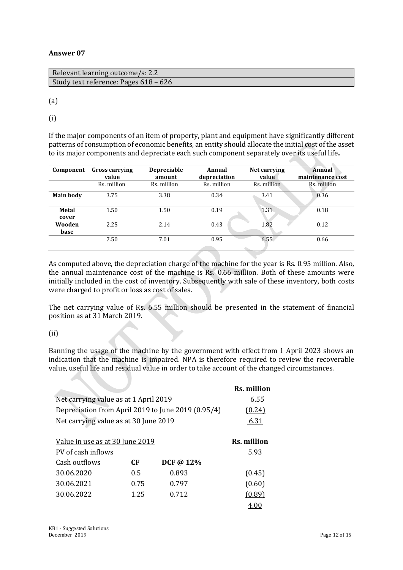| Relevant learning outcome/s: 2.2      |  |
|---------------------------------------|--|
| Study text reference: Pages 618 – 626 |  |
|                                       |  |

(a)

(i)

If the major components of an item of property, plant and equipment have significantly different patterns of consumption of economic benefits, an entity should allocate the initial cost of the asset to its major components and depreciate each such component separately over its useful life**.**

| Component             | <b>Gross carrying</b><br>value | <b>Depreciable</b><br>amount | Annual<br>depreciation | Net carrying<br>value | <b>Annual</b><br>maintenance cost |
|-----------------------|--------------------------------|------------------------------|------------------------|-----------------------|-----------------------------------|
|                       | Rs. million                    | Rs. million                  | Rs. million            | Rs. million           | Rs. million                       |
| <b>Main body</b>      | 3.75                           | 3.38                         | 0.34                   | 3.41                  | 0.36                              |
| <b>Metal</b><br>cover | 1.50                           | 1.50                         | 0.19                   | 1.31                  | 0.18                              |
| Wooden<br>base        | 2.25                           | 2.14                         | 0.43                   | 1.82                  | 0.12                              |
|                       | 7.50                           | 7.01                         | 0.95                   | 6.55                  | 0.66                              |

As computed above, the depreciation charge of the machine for the year is Rs. 0.95 million. Also, the annual maintenance cost of the machine is Rs. 0.66 million. Both of these amounts were initially included in the cost of inventory. Subsequently with sale of these inventory, both costs were charged to profit or loss as cost of sales.

The net carrying value of Rs. 6.55 million should be presented in the statement of financial position as at 31 March 2019.

#### (ii)

Banning the usage of the machine by the government with effect from 1 April 2023 shows an indication that the machine is impaired. NPA is therefore required to review the recoverable value, useful life and residual value in order to take account of the changed circumstances.

|                                                    |        |              | Rs. million |
|----------------------------------------------------|--------|--------------|-------------|
| Net carrying value as at 1 April 2019              | 6.55   |              |             |
| Depreciation from April 2019 to June 2019 (0.95/4) | (0.24) |              |             |
| Net carrying value as at 30 June 2019              | 6.31   |              |             |
|                                                    |        |              |             |
| Value in use as at 30 June 2019                    |        |              | Rs. million |
| PV of cash inflows                                 |        |              | 5.93        |
| Cash outflows                                      | СF     | DCF @ $12\%$ |             |
| 30.06.2020                                         | 0.5    | 0.893        | (0.45)      |
| 30.06.2021                                         | 0.75   | 0.797        | (0.60)      |
| 30.06.2022                                         | 1.25   | 0.712        | (0.89)      |
|                                                    |        |              | 4.00        |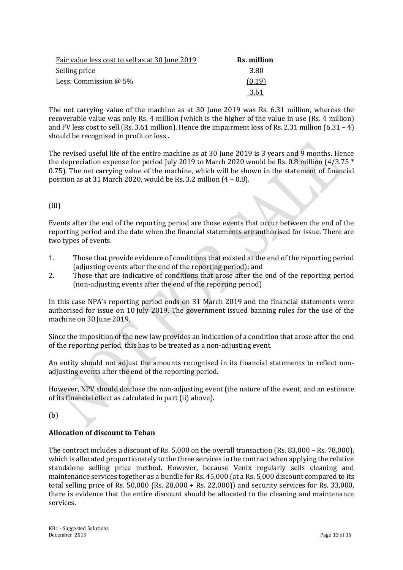| Fair value less cost to sell as at 30 June 2019 | Rs. million |
|-------------------------------------------------|-------------|
| Selling price                                   | 3.80        |
| Less: Commission $@$ 5%                         | (0.19)      |
|                                                 | 3.61        |

The net carrying value of the machine as at 30 June 2019 was Rs. 6.31 million, whereas the recoverable value was only Rs. 4 million (which is the higher of the value in use (Rs. 4 million) and FV less cost to sell (Rs. 3.61 million). Hence the impairment loss of Rs. 2.31 million (6.31 – 4) should be recognised in profit or loss **.**

The revised useful life of the entire machine as at 30 June 2019 is 3 years and 9 months. Hence the depreciation expense for period July 2019 to March 2020 would be Rs. 0.8 million  $(4/3.75 *$ 0.75). The net carrying value of the machine, which will be shown in the statement of financial position as at 31 March 2020, would be Rs. 3.2 million (4 – 0.8).

#### (iii)

Events after the end of the reporting period are those events that occur between the end of the reporting period and the date when the financial statements are authorised for issue. There are two types of events.

- 1. Those that provide evidence of conditions that existed at the end of the reporting period (adjusting events after the end of the reporting period); and
- 2. Those that are indicative of conditions that arose after the end of the reporting period (non-adjusting events after the end of the reporting period)

In this case NPA's reporting period ends on 31 March 2019 and the financial statements were authorised for issue on 10 July 2019. The government issued banning rules for the use of the machine on 30 June 2019.

Since the imposition of the new law provides an indication of a condition that arose after the end of the reporting period, this has to be treated as a non-adjusting event.

An entity should not adjust the amounts recognised in its financial statements to reflect nonadjusting events after the end of the reporting period.

However, NPV should disclose the non-adjusting event (the nature of the event, and an estimate of its financial effect as calculated in part (ii) above).

(b)

#### **Allocation of discount to Tehan**

The contract includes a discount of Rs. 5,000 on the overall transaction (Rs. 83,000 – Rs. 78,000), which is allocated proportionately to the three services in the contract when applying the relative standalone selling price method. However, because Venix regularly sells cleaning and maintenance services together as a bundle for Rs. 45,000 (at a Rs. 5,000 discount compared to its total selling price of Rs. 50,000 (Rs. 28,000 + Rs. 22,000)) and security services for Rs. 33,000, there is evidence that the entire discount should be allocated to the cleaning and maintenance services.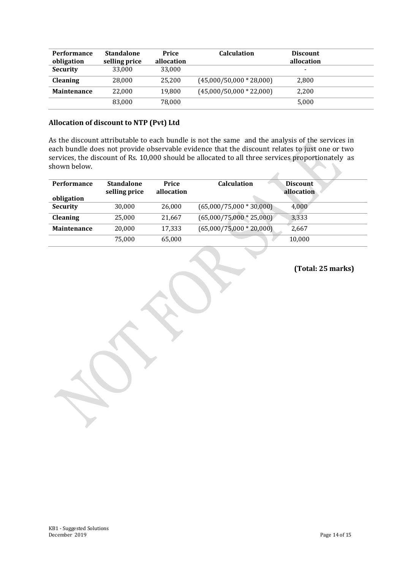| <b>Performance</b> | <b>Standalone</b> | Price<br>allocation | <b>Calculation</b>         | <b>Discount</b><br>allocation |  |
|--------------------|-------------------|---------------------|----------------------------|-------------------------------|--|
| obligation         | selling price     |                     |                            |                               |  |
| <b>Security</b>    | 33.000            | 33,000              |                            | -                             |  |
| <b>Cleaning</b>    | 28,000            | 25.200              | $(45,000/50,000 * 28,000)$ | 2,800                         |  |
| <b>Maintenance</b> | 22.000            | 19,800              | $(45,000/50,000 * 22,000)$ | 2,200                         |  |
|                    | 83.000            | 78.000              |                            | 5,000                         |  |

#### **Allocation of discount to NTP (Pvt) Ltd**

As the discount attributable to each bundle is not the same and the analysis of the services in each bundle does not provide observable evidence that the discount relates to just one or two services, the discount of Rs. 10,000 should be allocated to all three services proportionately as shown below.

| <b>Performance</b> | <b>Standalone</b><br>selling price | Price<br>allocation | <b>Calculation</b>         | <b>Discount</b><br>allocation |
|--------------------|------------------------------------|---------------------|----------------------------|-------------------------------|
| obligation         |                                    |                     |                            |                               |
| <b>Security</b>    | 30,000                             | 26,000              | $(65,000/75,000 * 30,000)$ | 4,000                         |
| <b>Cleaning</b>    | 25,000                             | 21,667              | $(65,000/75,000 * 25,000)$ | 3,333                         |
| <b>Maintenance</b> | 20.000                             | 17,333              | $(65,000/75,000 * 20,000)$ | 2.667                         |
|                    | 75,000                             | 65,000              |                            | 10,000                        |

**(Total: 25 marks)**

A